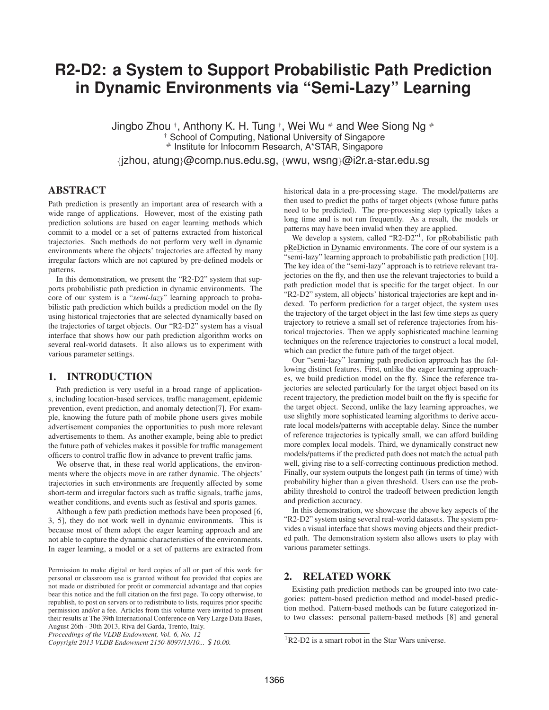# **R2-D2: a System to Support Probabilistic Path Prediction in Dynamic Environments via "Semi-Lazy" Learning**

Jingbo Zhou † , Anthony K. H. Tung † , Wei Wu # and Wee Siong Ng # School of Computing, National University of Singapore # Institute for Infocomm Research, A\*STAR, Singapore

{jzhou, atung}@comp.nus.edu.sg, {wwu, wsng}@i2r.a-star.edu.sg

# **ABSTRACT**

Path prediction is presently an important area of research with a wide range of applications. However, most of the existing path prediction solutions are based on eager learning methods which commit to a model or a set of patterns extracted from historical trajectories. Such methods do not perform very well in dynamic environments where the objects' trajectories are affected by many irregular factors which are not captured by pre-defined models or patterns.

In this demonstration, we present the "R2-D2" system that supports probabilistic path prediction in dynamic environments. The core of our system is a "*semi-lazy*" learning approach to probabilistic path prediction which builds a prediction model on the fly using historical trajectories that are selected dynamically based on the trajectories of target objects. Our "R2-D2" system has a visual interface that shows how our path prediction algorithm works on several real-world datasets. It also allows us to experiment with various parameter settings.

## **1. INTRODUCTION**

Path prediction is very useful in a broad range of applications, including location-based services, traffic management, epidemic prevention, event prediction, and anomaly detection[7]. For example, knowing the future path of mobile phone users gives mobile advertisement companies the opportunities to push more relevant advertisements to them. As another example, being able to predict the future path of vehicles makes it possible for traffic management officers to control traffic flow in advance to prevent traffic jams.

We observe that, in these real world applications, the environments where the objects move in are rather dynamic. The objects' trajectories in such environments are frequently affected by some short-term and irregular factors such as traffic signals, traffic jams, weather conditions, and events such as festival and sports games.

Although a few path prediction methods have been proposed [6, 3, 5], they do not work well in dynamic environments. This is because most of them adopt the eager learning approach and are not able to capture the dynamic characteristics of the environments. In eager learning, a model or a set of patterns are extracted from historical data in a pre-processing stage. The model/patterns are then used to predict the paths of target objects (whose future paths need to be predicted). The pre-processing step typically takes a long time and is not run frequently. As a result, the models or patterns may have been invalid when they are applied.

We develop a system, called "R2-D2"<sup>1</sup>, for pRobabilistic path pReDiction in Dynamic environments. The core of our system is a "semi-lazy" learning approach to probabilistic path prediction [10]. The key idea of the "semi-lazy" approach is to retrieve relevant trajectories on the fly, and then use the relevant trajectories to build a path prediction model that is specific for the target object. In our "R2-D2" system, all objects' historical trajectories are kept and indexed. To perform prediction for a target object, the system uses the trajectory of the target object in the last few time steps as query trajectory to retrieve a small set of reference trajectories from historical trajectories. Then we apply sophisticated machine learning techniques on the reference trajectories to construct a local model, which can predict the future path of the target object.

Our "semi-lazy" learning path prediction approach has the following distinct features. First, unlike the eager learning approaches, we build prediction model on the fly. Since the reference trajectories are selected particularly for the target object based on its recent trajectory, the prediction model built on the fly is specific for the target object. Second, unlike the lazy learning approaches, we use slightly more sophisticated learning algorithms to derive accurate local models/patterns with acceptable delay. Since the number of reference trajectories is typically small, we can afford building more complex local models. Third, we dynamically construct new models/patterns if the predicted path does not match the actual path well, giving rise to a self-correcting continuous prediction method. Finally, our system outputs the longest path (in terms of time) with probability higher than a given threshold. Users can use the probability threshold to control the tradeoff between prediction length and prediction accuracy.

In this demonstration, we showcase the above key aspects of the "R2-D2" system using several real-world datasets. The system provides a visual interface that shows moving objects and their predicted path. The demonstration system also allows users to play with various parameter settings.

# **2. RELATED WORK**

Existing path prediction methods can be grouped into two categories: pattern-based prediction method and model-based prediction method. Pattern-based methods can be future categorized into two classes: personal pattern-based methods [8] and general

Permission to make digital or hard copies of all or part of this work for personal or classroom use is granted without fee provided that copies are not made or distributed for profit or commercial advantage and that copies bear this notice and the full citation on the first page. To copy otherwise, to republish, to post on servers or to redistribute to lists, requires prior specific permission and/or a fee. Articles from this volume were invited to present their results at The 39th International Conference on Very Large Data Bases, August 26th - 30th 2013, Riva del Garda, Trento, Italy.

*Proceedings of the VLDB Endowment, Vol. 6, No. 12*

*Copyright 2013 VLDB Endowment 2150-8097/13/10...* \$ *10.00.*

 ${}^{1}R2-D2$  is a smart robot in the Star Wars universe.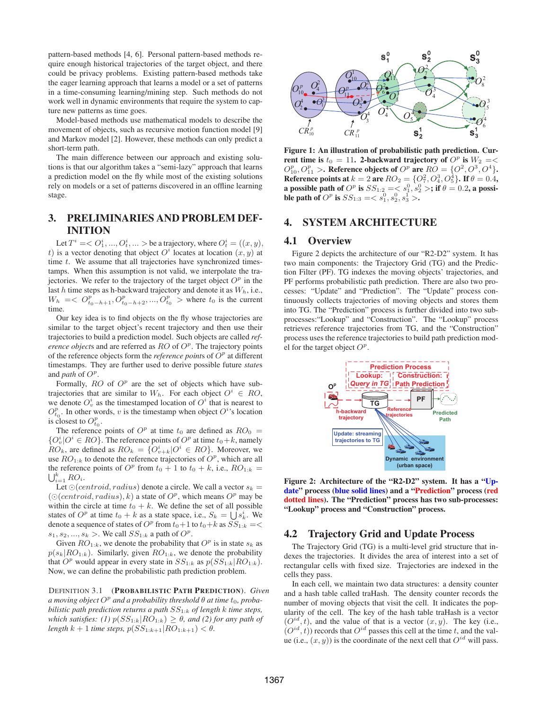pattern-based methods [4, 6]. Personal pattern-based methods require enough historical trajectories of the target object, and there could be privacy problems. Existing pattern-based methods take the eager learning approach that learns a model or a set of patterns in a time-consuming learning/mining step. Such methods do not work well in dynamic environments that require the system to capture new patterns as time goes.

Model-based methods use mathematical models to describe the movement of objects, such as recursive motion function model [9] and Markov model [2]. However, these methods can only predict a short-term path.

The main difference between our approach and existing solutions is that our algorithm takes a "semi-lazy" approach that learns a prediction model on the fly while most of the existing solutions rely on models or a set of patterns discovered in an offline learning stage.

# **3. PRELIMINARIES AND PROBLEM DEF-INITION**

Let  $T^i = < O_1^i, ..., O_t^i, ...>$  be a trajectory, where  $O_t^i = ((x, y),$ t) is a vector denoting that object  $O^i$  locates at location  $(x, y)$  at time  $t$ . We assume that all trajectories have synchronized timestamps. When this assumption is not valid, we interpolate the trajectories. We refer to the trajectory of the target object  $O<sup>p</sup>$  in the last  $h$  time steps as h-backward trajectory and denote it as  $W_h$ , i.e.,  $W_h = \langle O_{t_0-h+1}^p, O_{t_0-h+2}^p, ..., O_{t_0}^p \rangle$  where  $t_0$  is the current time.

Our key idea is to find objects on the fly whose trajectories are similar to the target object's recent trajectory and then use their trajectories to build a prediction model. Such objects are called *reference objects* and are referred as  $RO$  of  $O<sup>p</sup>$ . The trajectory points of the reference objects form the *reference points* of  $O<sup>p</sup>$  at different timestamps. They are further used to derive possible future *state*s and *path* of  $O^p$ .

Formally,  $RO$  of  $O<sup>p</sup>$  are the set of objects which have subtrajectories that are similar to  $W_h$ . For each object  $O^i \in RO$ , we denote  $O_v^i$  as the timestamped location of  $O^i$  that is nearest to  $O_{t_0}^p$ . In other words, v is the timestamp when object  $O^{i}$ 's location is closest to  $O_{t_0}^p$ .

The reference points of  $O^p$  at time  $t_0$  are defined as  $RO_0 =$  ${O_v^i|O^i \in RO}$ . The reference points of  $O^p$  at time  $t_0+k$ , namely  $RO_k$ , are defined as  $RO_k = \{O_{v+k}^i | O^i \in RO\}$ . Moreover, we use  $RO_{1:k}$  to denote the reference trajectories of  $O^p$ , which are all the reference points of  $O^p$  from  $t_0 + 1$  to  $t_0 + k$ , i.e.,  $RO_{1:k} =$  $\bigcup_{i=1}^k RO_i$ .

Let  $\odot$ (*centroid, radius*) denote a circle. We call a vector  $s_k =$  $(\bigcirc (centroid, radius), k)$  a state of  $O^p$ , which means  $O^p$  may be within the circle at time  $t_0 + k$ . We define the set of all possible states of  $O^p$  at time  $t_0 + k$  as a state space, i.e.,  $S_k = \bigcup s_k^i$ . We denote a sequence of states of  $O^p$  from  $t_0+1$  to  $t_0+k$  as  $\overline{SS}_{1:k}=<$  $s_1, s_2, ..., s_k$  >. We call  $SS_{1:k}$  a path of  $O^p$ .

Given  $RO_{1:k}$ , we denote the probability that  $O<sup>p</sup>$  is in state  $s_k$  as  $p(s_k|RO_{1:k})$ . Similarly, given  $RO_{1:k}$ , we denote the probability that  $O^p$  would appear in every state in  $SS_{1:k}$  as  $p(SS_{1:k}|RO_{1:k})$ . Now, we can define the probabilistic path prediction problem.

DEFINITION 3.1 (**PROBABILISTIC PATH PREDICTION**). *Given*  $a$  moving object  $O^p$  and a probability threshold  $\theta$  at time  $t_0$ , proba*bilistic path prediction returns a path* SS1:<sup>k</sup> *of length* k *time steps, which satisfies:* (1)  $p(SS_{1:k}|RO_{1:k}) \geq \theta$ , and (2) for any path of *length*  $k + 1$  *time steps,*  $p(SS_{1:k+1} | RO_{1:k+1}) < \theta$ .



**Figure 1: An illustration of probabilistic path prediction. Current time is**  $t_0 = 11$ . 2-backward trajectory of  $O^p$  is  $W_2 = \langle$  $O_{10}^p, O_{11}^p >$ **. Reference objects of**  $O^p$  are  $RO = \{O^2, O^3, O^4\}$ **. Reference points at**  $k = 2$  are  $RO_2 = \{O_7^2, O_4^3, O_5^4\}$ . If  $\theta = 0.4$ , **a** possible path of  $O^p$  is  $SS_{1:2} =$  ; if  $\theta = 0.2$ , a possi**ble path of**  $O^p$  **is**  $SS_{1:3} = \langle s_1^0, s_2^0, s_3^1 \rangle$ .

## **4. SYSTEM ARCHITECTURE**

#### **4.1 Overview**

Figure 2 depicts the architecture of our "R2-D2" system. It has two main components: the Trajectory Grid (TG) and the Prediction Filter (PF). TG indexes the moving objects' trajectories, and PF performs probabilistic path prediction. There are also two processes: "Update" and "Prediction". The "Update" process continuously collects trajectories of moving objects and stores them into TG. The "Prediction" process is further divided into two subprocesses:"Lookup" and "Construction". The "Lookup" process retrieves reference trajectories from TG, and the "Construction" process uses the reference trajectories to build path prediction model for the target object  $O^p$ .



**Figure 2: Architecture of the "R2-D2" system. It has a "Update" process (blue solid lines) and a "Prediction" process (red dotted lines). The "Prediction" process has two sub-processes: "Lookup" process and "Construction" process.**

## **4.2 Trajectory Grid and Update Process**

The Trajectory Grid (TG) is a multi-level grid structure that indexes the trajectories. It divides the area of interest into a set of rectangular cells with fixed size. Trajectories are indexed in the cells they pass.

In each cell, we maintain two data structures: a density counter and a hash table called traHash. The density counter records the number of moving objects that visit the cell. It indicates the popularity of the cell. The key of the hash table traHash is a vector  $(O^{id}$  $i<sub>i</sub>$ , t), and the value of that is a vector  $(x, y)$ . The key (i.e.,  $(O^{id}, t)$ ) records that  $O^{id}$  passes this cell at the time t, and the value (i.e.,  $(x, y)$ ) is the coordinate of the next cell that  $O^{id}$  will pass.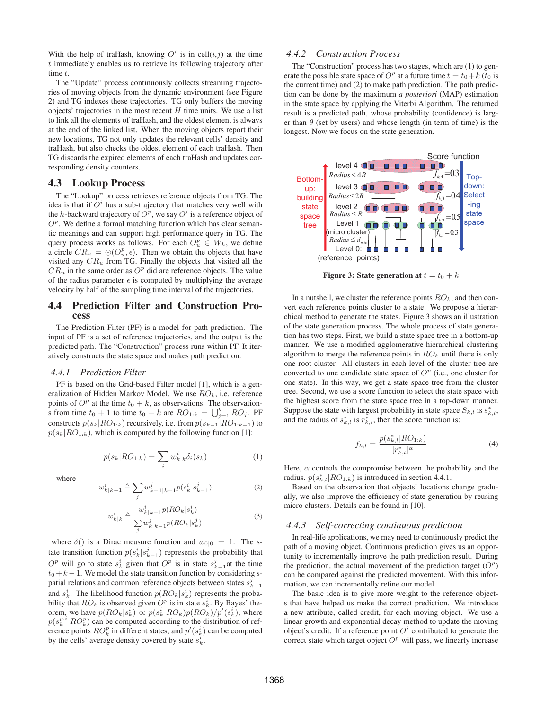With the help of traHash, knowing  $O^i$  is in cell $(i,j)$  at the time  $t$  immediately enables us to retrieve its following trajectory after time t.

The "Update" process continuously collects streaming trajectories of moving objects from the dynamic environment (see Figure 2) and TG indexes these trajectories. TG only buffers the moving objects' trajectories in the most recent  $H$  time units. We use a list to link all the elements of traHash, and the oldest element is always at the end of the linked list. When the moving objects report their new locations, TG not only updates the relevant cells' density and traHash, but also checks the oldest element of each traHash. Then TG discards the expired elements of each traHash and updates corresponding density counters.

#### **4.3 Lookup Process**

The "Lookup" process retrieves reference objects from TG. The idea is that if  $O^i$  has a sub-trajectory that matches very well with the h-backward trajectory of  $O^p$ , we say  $O^i$  is a reference object of  $O<sup>p</sup>$ . We define a formal matching function which has clear semantic meanings and can support high performance query in TG. The query process works as follows. For each  $O_u^p \in W_h$ , we define a circle  $CR_u = \odot(O_u^p, \epsilon)$ . Then we obtain the objects that have visited any  $CR_u$  from TG. Finally the objects that visited all the  $CR_u$  in the same order as  $O^p$  did are reference objects. The value of the radius parameter  $\epsilon$  is computed by multiplying the average velocity by half of the sampling time interval of the trajectories.

## **4.4 Prediction Filter and Construction Process**

The Prediction Filter (PF) is a model for path prediction. The input of PF is a set of reference trajectories, and the output is the predicted path. The "Construction" process runs within PF. It iteratively constructs the state space and makes path prediction.

#### *4.4.1 Prediction Filter*

 $\overline{w}$ 

 $\mathcal{L}$ 

PF is based on the Grid-based Filter model [1], which is a generalization of Hidden Markov Model. We use  $RO_k$ , i.e. reference points of  $O^p$  at the time  $t_0 + k$ , as observations. The observationis from time  $t_0 + 1$  to time  $t_0 + k$  are  $RO_{1:k} = \bigcup_{j=1}^{k} RO_j$ . PF constructs  $p(s_k|RO_{1:k})$  recursively, i.e. from  $p(s_{k-1}|RO_{1:k-1})$  to  $p(s_k|RO_{1:k})$ , which is computed by the following function [1]:

$$
p(s_k|RO_{1:k}) = \sum_i w_{k|k}^i \delta_i(s_k)
$$
 (1)

where

$$
i_{k|k-1} \triangleq \sum_{j} w_{k-1|k-1}^{j} p(s_k^i | s_{k-1}^j)
$$
 (2)

$$
v_{k|k}^{i} \triangleq \frac{w_{k|k-1}^{i} p(RO_{k}|s_{k}^{i})}{\sum_{j} w_{k|k-1}^{j} p(RO_{k}|s_{k}^{j})}
$$
(3)

where  $\delta()$  is a Dirac measure function and  $w_{0|0} = 1$ . The state transition function  $p(s_k^i|s_{k-1}^j)$  represents the probability that  $O<sup>p</sup>$  will go to state  $s<sub>k</sub><sup>i</sup>$  given that  $O<sup>p</sup>$  is in state  $s<sub>k-1</sub><sup>j</sup>$  at the time  $t_0 + k - 1$ . We model the state transition function by considering spatial relations and common reference objects between states  $s_{k-1}^{\bar{j}}$ and  $s_k^i$ . The likelihood function  $p(RO_k|s_k^i)$  represents the probability that  $RO_k$  is observed given  $O^p$  is in state  $s_k^i$ . By Bayes' theorem, we have  $p(RO_k|s_k^i) \propto p(s_k^i|RO_k)p(RO_k)/p'(s_k^i)$ , where  $p(s_k^{p,i}|RO_k^p)$  can be computed according to the distribution of reference points  $RO_k^p$  in different states, and  $p'(s_k^i)$  can be computed by the cells' average density covered by state  $s_k^i$ .

#### *4.4.2 Construction Process*

The "Construction" process has two stages, which are (1) to generate the possible state space of  $O^p$  at a future time  $t = t_0 + k(t_0)$  is the current time) and (2) to make path prediction. The path prediction can be done by the maximum *a posteriori* (MAP) estimation in the state space by applying the Viterbi Algorithm. The returned result is a predicted path, whose probability (confidence) is larger than  $\theta$  (set by users) and whose length (in term of time) is the longest. Now we focus on the state generation.



**Figure 3: State generation at**  $t = t_0 + k$ 

In a nutshell, we cluster the reference points  $RO<sub>k</sub>$ , and then convert each reference points cluster to a state. We propose a hierarchical method to generate the states. Figure 3 shows an illustration of the state generation process. The whole process of state generation has two steps. First, we build a state space tree in a bottom-up manner. We use a modified agglomerative hierarchical clustering algorithm to merge the reference points in  $RO_k$  until there is only one root cluster. All clusters in each level of the cluster tree are converted to one candidate state space of  $O<sup>p</sup>$  (i.e., one cluster for one state). In this way, we get a state space tree from the cluster tree. Second, we use a score function to select the state space with the highest score from the state space tree in a top-down manner. Suppose the state with largest probability in state space  $S_{k,l}$  is  $s_{k,l}^*$ , and the radius of  $s_{k,l}^*$  is  $r_{k,l}^*$ , then the score function is:

$$
f_{k,l} = \frac{p(s_{k,l}^*|RO_{1:k})}{[r_{k,l}^*]^{\alpha}} \tag{4}
$$

Here,  $\alpha$  controls the compromise between the probability and the radius.  $p(s_{k,l}^*|RO_{1:k})$  is introduced in section 4.4.1.

Based on the observation that objects' locations change gradually, we also improve the efficiency of state generation by reusing micro clusters. Details can be found in [10].

#### *4.4.3 Self-correcting continuous prediction*

In real-life applications, we may need to continuously predict the path of a moving object. Continuous prediction gives us an opportunity to incrementally improve the path prediction result. During the prediction, the actual movement of the prediction target  $(O<sup>p</sup>)$ can be compared against the predicted movement. With this information, we can incrementally refine our model.

The basic idea is to give more weight to the reference objects that have helped us make the correct prediction. We introduce a new attribute, called credit, for each moving object. We use a linear growth and exponential decay method to update the moving object's credit. If a reference point  $O^i$  contributed to generate the correct state which target object  $O<sup>p</sup>$  will pass, we linearly increase